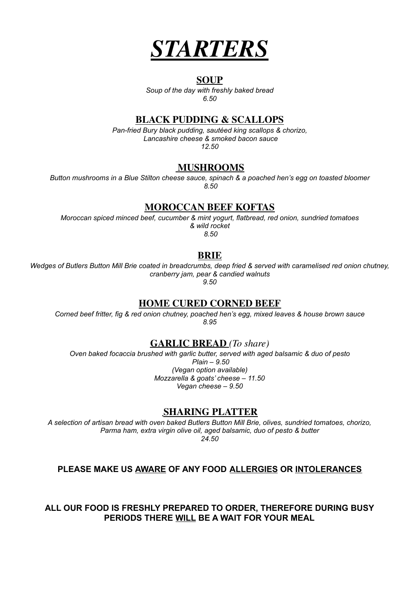

#### **SOUP**

*Soup of the day with freshly baked bread 6.50*

#### **BLACK PUDDING & SCALLOPS**

*Pan-fried Bury black pudding, sautéed king scallops & chorizo, Lancashire cheese & smoked bacon sauce 12.50*

#### **MUSHROOMS**

*Button mushrooms in a Blue Stilton cheese sauce, spinach & a poached hen's egg on toasted bloomer 8.50*

#### **MOROCCAN BEEF KOFTAS**

*Moroccan spiced minced beef, cucumber & mint yogurt, flatbread, red onion, sundried tomatoes & wild rocket 8.50*

#### **BRIE**

Wedges of Butlers Button Mill Brie coated in breadcrumbs, deep fried & served with caramelised red onion chutney, *cranberry jam, pear & candied walnuts 9.50*

#### **HOME CURED CORNED BEEF**

*Corned beef fritter, fig & red onion chutney, poached hen's egg, mixed leaves & house brown sauce 8.95*

#### **GARLIC BREAD** *(To share)*

*Oven baked focaccia brushed with garlic butter, served with aged balsamic & duo of pesto Plain – 9.50 (Vegan option available) Mozzarella & goats' cheese – 11.50 Vegan cheese – 9.50*

#### **SHARING PLATTER**

*A selection of artisan bread with oven baked Butlers Button Mill Brie, olives, sundried tomatoes, chorizo, Parma ham, extra virgin olive oil, aged balsamic, duo of pesto & butter 24.50*

#### **PLEASE MAKE US AWARE OF ANY FOOD ALLERGIES OR INTOLERANCES**

**ALL OUR FOOD IS FRESHLY PREPARED TO ORDER, THEREFORE DURING BUSY PERIODS THERE WILL BE A WAIT FOR YOUR MEAL**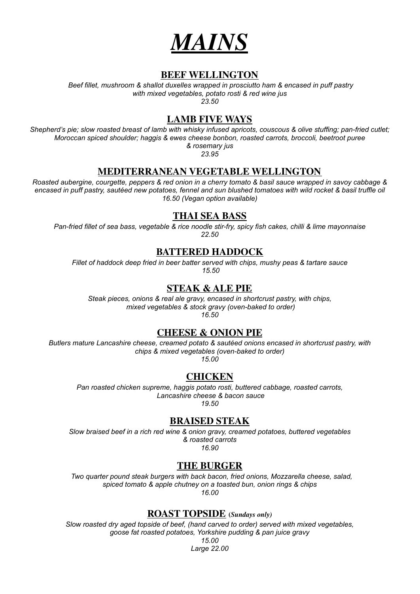

#### **BEEF WELLINGTON**

*Beef fillet, mushroom & shallot duxelles wrapped in prosciutto ham & encased in puff pastry with mixed vegetables, potato rosti & red wine jus 23.50*

#### **LAMB FIVE WAYS**

Shepherd's pie; slow roasted breast of lamb with whisky infused apricots, couscous & olive stuffing; pan-fried cutlet; *Moroccan spiced shoulder; haggis & ewes cheese bonbon, roasted carrots, broccoli, beetroot puree & rosemary jus*

*23.95*

#### **MEDITERRANEAN VEGETABLE WELLINGTON**

Roasted aubergine, courgette, peppers & red onion in a cherry tomato & basil sauce wrapped in savoy cabbage & encased in puff pastry, sautéed new potatoes, fennel and sun blushed tomatoes with wild rocket & basil truffle oil *16.50 (Vegan option available)*

#### **THAI SEA BASS**

Pan-fried fillet of sea bass, vegetable & rice noodle stir-fry, spicy fish cakes, chilli & lime mayonnaise *22.50*

#### **BATTERED HADDOCK**

*Fillet of haddock deep fried in beer batter served with chips, mushy peas & tartare sauce 15.50*

#### **STEAK & ALE PIE**

*Steak pieces, onions & real ale gravy, encased in shortcrust pastry, with chips, mixed vegetables & stock gravy (oven-baked to order) 16.50*

#### **CHEESE & ONION PIE**

*Butlers mature Lancashire cheese, creamed potato & sautéed onions encased in shortcrust pastry, with chips & mixed vegetables (oven-baked to order)*

*15.00*

#### **CHICKEN**

*Pan roasted chicken supreme, haggis potato rosti, buttered cabbage, roasted carrots, Lancashire cheese & bacon sauce*

*19.50*

#### **BRAISED STEAK**

*Slow braised beef in a rich red wine & onion gravy, creamed potatoes, buttered vegetables & roasted carrots 16.90*

#### **THE BURGER**

*Two quarter pound steak burgers with back bacon, fried onions, Mozzarella cheese, salad, spiced tomato & apple chutney on a toasted bun, onion rings & chips 16.00*

**ROAST TOPSIDE (***Sundays only)*

*Slow roasted dry aged topside of beef, (hand carved to order) served with mixed vegetables, goose fat roasted potatoes, Yorkshire pudding & pan juice gravy*

> *15.00 Large 22.00*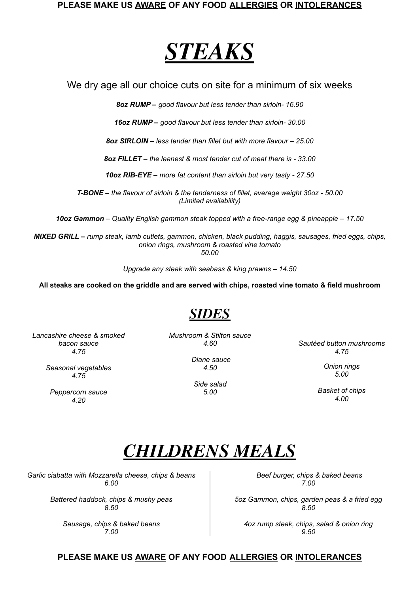#### **PLEASE MAKE US AWARE OF ANY FOOD ALLERGIES OR INTOLERANCES**

## *STEAKS*

We dry age all our choice cuts on site for a minimum of six weeks

*8oz RUMP – good flavour but less tender than sirloin- 16.90*

*16oz RUMP – good flavour but less tender than sirloin- 30.00*

*8oz SIRLOIN – less tender than fillet but with more flavour – 25.00*

*8oz FILLET – the leanest & most tender cut of meat there is - 33.00*

*10oz RIB-EYE – more fat content than sirloin but very tasty - 27.50*

*T-BONE – the flavour of sirloin & the tenderness of fillet, average weight 30oz - 50.00 (Limited availability)*

*10oz Gammon – Quality English gammon steak topped with a free-range egg & pineapple – 17.50*

*MIXED GRILL – rump steak, lamb cutlets, gammon, chicken, black pudding, haggis, sausages, fried eggs, chips, onion rings, mushroom & roasted vine tomato 50.00*

*Upgrade any steak with seabass & king prawns – 14.50*

All steaks are cooked on the griddle and are served with chips, roasted vine tomato & field mushroom

### *SIDES*

*Lancashire cheese & smoked bacon sauce 4.75*

> *Seasonal vegetables 4.75*

*Peppercorn sauce 4.20*

*Mushroom & Stilton sauce 4.60*

*4.50*

*Side salad 5.00*

*Sautéed button mushrooms 4.75*

> *Onion rings 5.00*

*Basket of chips 4.00*

## *CHILDRENS MEALS*

*Garlic ciabatta with Mozzarella cheese, chips & beans 6.00*

> *Battered haddock, chips & mushy peas 8.50*

> > *Sausage, chips & baked beans 7.00*

*Beef burger, chips & baked beans 7.00*

*5oz Gammon, chips, garden peas & a fried egg 8.50*

*4oz rump steak, chips, salad & onion ring 9.50*

#### **PLEASE MAKE US AWARE OF ANY FOOD ALLERGIES OR INTOLERANCES**

# *Diane sauce*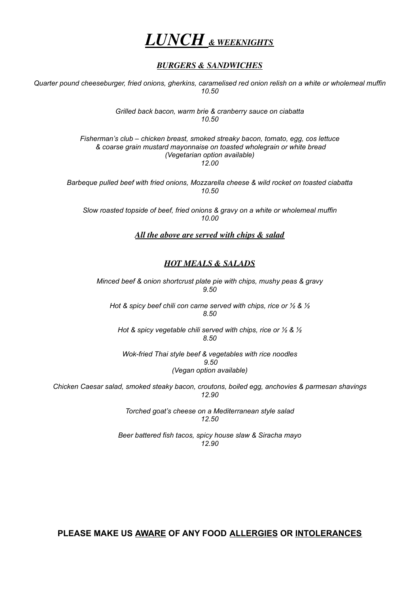

#### *BURGERS & SANDWICHES*

*Quarter pound cheeseburger, fried onions, gherkins, caramelised red onion relish on a white or wholemeal muffin 10.50*

> *Grilled back bacon, warm brie & cranberry sauce on ciabatta 10.50*

*Fisherman's club – chicken breast, smoked streaky bacon, tomato, egg, cos lettuce & coarse grain mustard mayonnaise on toasted wholegrain or white bread (Vegetarian option available) 12.00*

*Barbeque pulled beef with fried onions, Mozzarella cheese & wild rocket on toasted ciabatta 10.50*

*Slow roasted topside of beef, fried onions & gravy on a white or wholemeal muffin 10.00*

#### *All the above are served with chips & salad*

#### *HOT MEALS & SALADS*

*Minced beef & onion shortcrust plate pie with chips, mushy peas & gravy 9.50*

*Hot & spicy beef chili con carne served with chips, rice or ½ & ½ 8.50*

*Hot & spicy vegetable chili served with chips, rice or ½ & ½ 8.50*

*Wok-fried Thai style beef & vegetables with rice noodles 9.50 (Vegan option available)*

*Chicken Caesar salad, smoked steaky bacon, croutons, boiled egg, anchovies & parmesan shavings 12.90*

> *Torched goat's cheese on a Mediterranean style salad 12.50*

*Beer battered fish tacos, spicy house slaw & Siracha mayo 12.90*

**PLEASE MAKE US AWARE OF ANY FOOD ALLERGIES OR INTOLERANCES**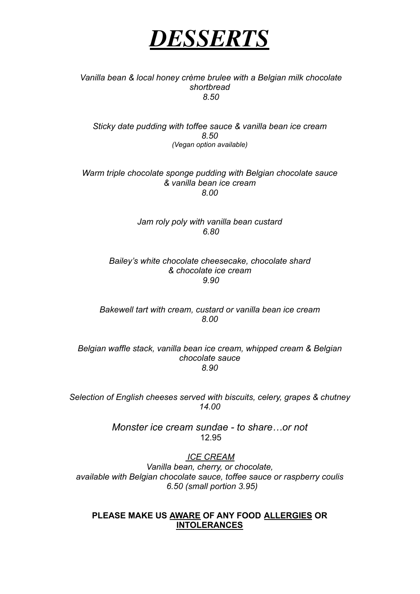

#### *Vanilla bean & local honey crème brulee with a Belgian milk chocolate shortbread 8.50*

*Sticky date pudding with toffee sauce & vanilla bean ice cream 8.50 (Vegan option available)*

*Warm triple chocolate sponge pudding with Belgian chocolate sauce & vanilla bean ice cream 8.00*

> *Jam roly poly with vanilla bean custard 6.80*

*Bailey's white chocolate cheesecake, chocolate shard & chocolate ice cream 9.90*

*Bakewell tart with cream, custard or vanilla bean ice cream 8.00*

*Belgian waffle stack, vanilla bean ice cream, whipped cream & Belgian chocolate sauce 8.90*

*Selection of English cheeses served with biscuits, celery, grapes & chutney 14.00*

> *Monster ice cream sundae - to share…or not* 12.95

> > *ICE CREAM*

*Vanilla bean, cherry, or chocolate, available with Belgian chocolate sauce, toffee sauce or raspberry coulis 6.50 (small portion 3.95)*

#### **PLEASE MAKE US AWARE OF ANY FOOD ALLERGIES OR INTOLERANCES**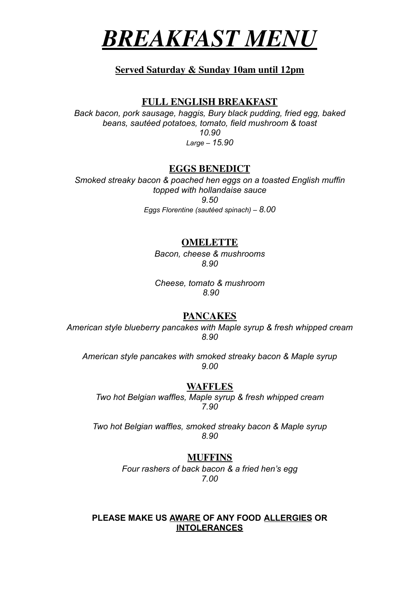

#### **Served Saturday & Sunday 10am until 12pm**

#### **FULL ENGLISH BREAKFAST**

*Back bacon, pork sausage, haggis, Bury black pudding, fried egg, baked beans, sautéed potatoes, tomato, field mushroom & toast 10.90 Large – 15.90*

#### **EGGS BENEDICT**

*Smoked streaky bacon & poached hen eggs on a toasted English muffin topped with hollandaise sauce 9.50 Eggs Florentine (sautéed spinach) – 8.00*

#### **OMELETTE**

*Bacon, cheese & mushrooms 8.90*

*Cheese, tomato & mushroom 8.90*

#### **PANCAKES**

*American style blueberry pancakes with Maple syrup & fresh whipped cream 8.90*

*American style pancakes with smoked streaky bacon & Maple syrup 9.00*

#### **WAFFLES**

*Two hot Belgian waffles, Maple syrup & fresh whipped cream 7.90*

*Two hot Belgian waffles, smoked streaky bacon & Maple syrup 8.90*

#### **MUFFINS**

*Four rashers of back bacon & a fried hen's egg 7.00*

#### **PLEASE MAKE US AWARE OF ANY FOOD ALLERGIES OR INTOLERANCES**